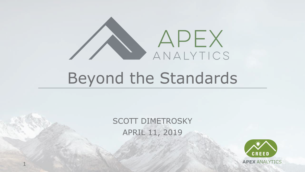

# Beyond the Standards

#### SCOTT DIMETROSKY APRIL 11, 2019

1

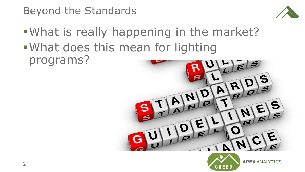

▪What is really happening in the market? ▪What does this mean for lighting programs?





**APEX** ANALYTICS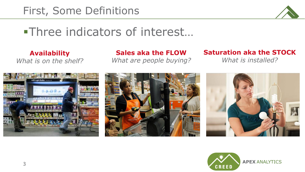

### ■Three indicators of interest...

**Availability** *What is on the shelf?*

**Sales aka the FLOW** *What are people buying?*

#### **Saturation aka the STOCK**

*What is installed?*







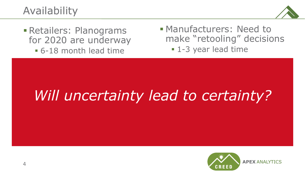#### Availability



**Execution Retailers: Planograms** for 2020 are underway ▪ 6-18 month lead time

- Manufacturers: Need to make "retooling" decisions
	- 1-3 year lead time

# *Will uncertainty lead to certainty?*

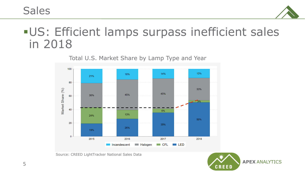Sales



### **-US: Efficient lamps surpass inefficient sales** in 2018



Total U.S. Market Share by Lamp Type and Year

Source: CREED LightTracker National Sales Data

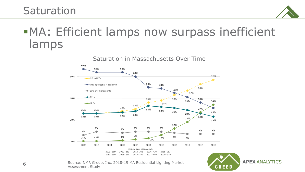#### **Saturation**



**APEX** ANALYTICS

**CREED** 

### **.MA: Efficient lamps now surpass inefficient** lamps



Source: NMR Group, Inc. 2018-19 MA Residential Lighting Market Assessment Study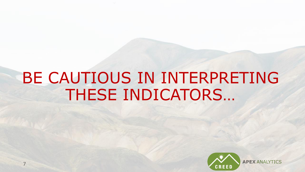# BE CAUTIOUS IN INTERPRETING THESE INDICATORS…

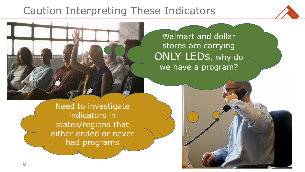### Caution Interpreting These Indicators



**APEX** ANALYTICS

Walmart and dollar stores are carrying ONLY LEDs, why do we have a program?

Need to investigate indicators in states/regions that either ended or never had programs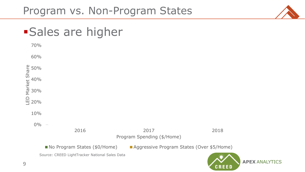#### Program vs. Non-Program States



#### **Sales are higher**

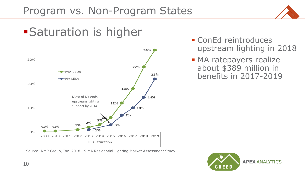

### **Saturation is higher**



Source: NMR Group, Inc. 2018-19 MA Residential Lighting Market Assessment Study

- ConEd reintroduces upstream lighting in 2018
- **MA ratepayers realize** about \$389 million in benefits in 2017-2019

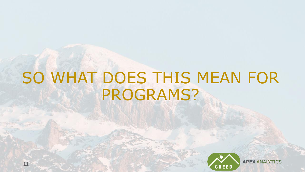# SO WHAT DOES THIS MEAN FOR PROGRAMS?

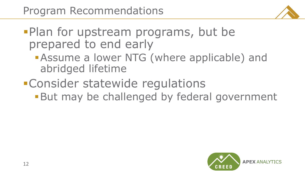

**Plan for upstream programs, but be** prepared to end early

- **BASSUME a lower NTG (where applicable) and** abridged lifetime
- **•Consider statewide regulations But may be challenged by federal government**